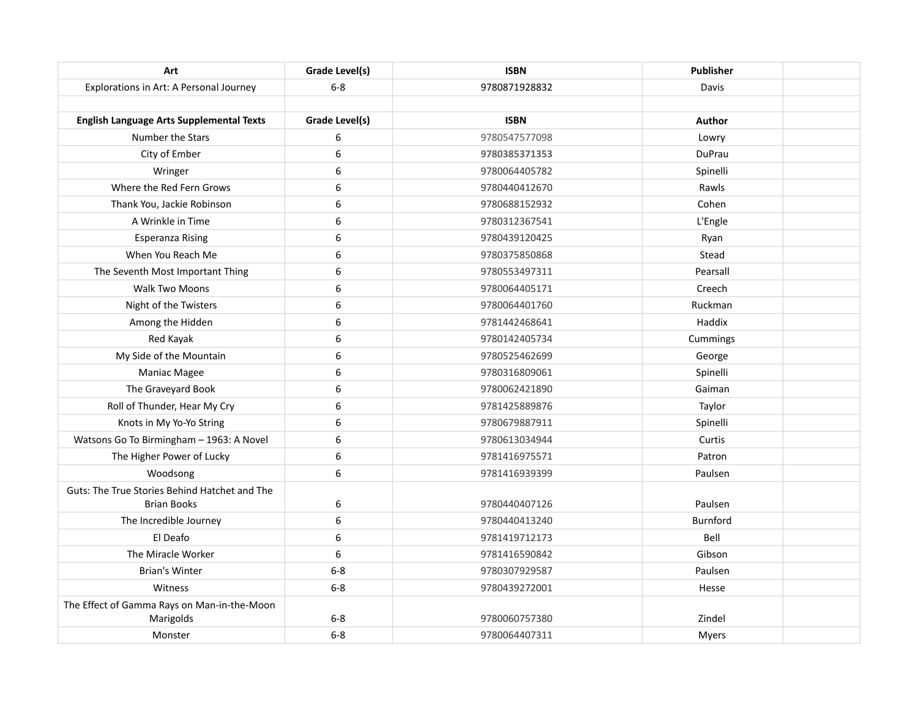| $6-8$<br>9780871928832<br>Explorations in Art: A Personal Journey<br>Davis<br>Grade Level(s)<br><b>ISBN</b><br><b>English Language Arts Supplemental Texts</b><br><b>Author</b><br>Number the Stars<br>6<br>9780547577098<br>Lowry<br>6<br>City of Ember<br><b>DuPrau</b><br>9780385371353<br>6<br>Wringer<br>9780064405782<br>Spinelli<br>$\boldsymbol{6}$<br>Where the Red Fern Grows<br>Rawls<br>9780440412670<br>6<br>Cohen<br>Thank You, Jackie Robinson<br>9780688152932<br>A Wrinkle in Time<br>6<br>9780312367541<br>L'Engle<br>6<br><b>Esperanza Rising</b><br>9780439120425<br>Ryan<br>When You Reach Me<br>6<br>Stead<br>9780375850868<br>6<br>Pearsall<br>The Seventh Most Important Thing<br>9780553497311<br><b>Walk Two Moons</b><br>6<br>Creech<br>9780064405171<br>Night of the Twisters<br>6<br>Ruckman<br>9780064401760<br>6<br>Haddix<br>Among the Hidden<br>9781442468641<br>6<br>Red Kayak<br>9780142405734<br>Cummings<br>6<br>My Side of the Mountain<br>9780525462699<br>George<br>Maniac Magee<br>6<br>9780316809061<br>Spinelli<br>$\boldsymbol{6}$<br>The Graveyard Book<br>Gaiman<br>9780062421890<br>Roll of Thunder, Hear My Cry<br>6<br>9781425889876<br>Taylor<br>Knots in My Yo-Yo String<br>6<br>9780679887911<br>Spinelli<br>6<br>Watsons Go To Birmingham - 1963: A Novel<br>Curtis<br>9780613034944<br>The Higher Power of Lucky<br>6<br>Patron<br>9781416975571<br>6<br>Woodsong<br>Paulsen<br>9781416939399<br>Guts: The True Stories Behind Hatchet and The<br><b>Brian Books</b><br>6<br>Paulsen<br>9780440407126<br>The Incredible Journey<br>6<br>Burnford<br>9780440413240<br>Bell<br>El Deafo<br>6<br>9781419712173 | Art                | Grade Level(s) | <b>ISBN</b>   | <b>Publisher</b> |  |
|-------------------------------------------------------------------------------------------------------------------------------------------------------------------------------------------------------------------------------------------------------------------------------------------------------------------------------------------------------------------------------------------------------------------------------------------------------------------------------------------------------------------------------------------------------------------------------------------------------------------------------------------------------------------------------------------------------------------------------------------------------------------------------------------------------------------------------------------------------------------------------------------------------------------------------------------------------------------------------------------------------------------------------------------------------------------------------------------------------------------------------------------------------------------------------------------------------------------------------------------------------------------------------------------------------------------------------------------------------------------------------------------------------------------------------------------------------------------------------------------------------------------------------------------------------------------------------------------------------------------------------------------------------------------|--------------------|----------------|---------------|------------------|--|
|                                                                                                                                                                                                                                                                                                                                                                                                                                                                                                                                                                                                                                                                                                                                                                                                                                                                                                                                                                                                                                                                                                                                                                                                                                                                                                                                                                                                                                                                                                                                                                                                                                                                   |                    |                |               |                  |  |
|                                                                                                                                                                                                                                                                                                                                                                                                                                                                                                                                                                                                                                                                                                                                                                                                                                                                                                                                                                                                                                                                                                                                                                                                                                                                                                                                                                                                                                                                                                                                                                                                                                                                   |                    |                |               |                  |  |
|                                                                                                                                                                                                                                                                                                                                                                                                                                                                                                                                                                                                                                                                                                                                                                                                                                                                                                                                                                                                                                                                                                                                                                                                                                                                                                                                                                                                                                                                                                                                                                                                                                                                   |                    |                |               |                  |  |
|                                                                                                                                                                                                                                                                                                                                                                                                                                                                                                                                                                                                                                                                                                                                                                                                                                                                                                                                                                                                                                                                                                                                                                                                                                                                                                                                                                                                                                                                                                                                                                                                                                                                   |                    |                |               |                  |  |
|                                                                                                                                                                                                                                                                                                                                                                                                                                                                                                                                                                                                                                                                                                                                                                                                                                                                                                                                                                                                                                                                                                                                                                                                                                                                                                                                                                                                                                                                                                                                                                                                                                                                   |                    |                |               |                  |  |
|                                                                                                                                                                                                                                                                                                                                                                                                                                                                                                                                                                                                                                                                                                                                                                                                                                                                                                                                                                                                                                                                                                                                                                                                                                                                                                                                                                                                                                                                                                                                                                                                                                                                   |                    |                |               |                  |  |
|                                                                                                                                                                                                                                                                                                                                                                                                                                                                                                                                                                                                                                                                                                                                                                                                                                                                                                                                                                                                                                                                                                                                                                                                                                                                                                                                                                                                                                                                                                                                                                                                                                                                   |                    |                |               |                  |  |
|                                                                                                                                                                                                                                                                                                                                                                                                                                                                                                                                                                                                                                                                                                                                                                                                                                                                                                                                                                                                                                                                                                                                                                                                                                                                                                                                                                                                                                                                                                                                                                                                                                                                   |                    |                |               |                  |  |
|                                                                                                                                                                                                                                                                                                                                                                                                                                                                                                                                                                                                                                                                                                                                                                                                                                                                                                                                                                                                                                                                                                                                                                                                                                                                                                                                                                                                                                                                                                                                                                                                                                                                   |                    |                |               |                  |  |
|                                                                                                                                                                                                                                                                                                                                                                                                                                                                                                                                                                                                                                                                                                                                                                                                                                                                                                                                                                                                                                                                                                                                                                                                                                                                                                                                                                                                                                                                                                                                                                                                                                                                   |                    |                |               |                  |  |
|                                                                                                                                                                                                                                                                                                                                                                                                                                                                                                                                                                                                                                                                                                                                                                                                                                                                                                                                                                                                                                                                                                                                                                                                                                                                                                                                                                                                                                                                                                                                                                                                                                                                   |                    |                |               |                  |  |
|                                                                                                                                                                                                                                                                                                                                                                                                                                                                                                                                                                                                                                                                                                                                                                                                                                                                                                                                                                                                                                                                                                                                                                                                                                                                                                                                                                                                                                                                                                                                                                                                                                                                   |                    |                |               |                  |  |
|                                                                                                                                                                                                                                                                                                                                                                                                                                                                                                                                                                                                                                                                                                                                                                                                                                                                                                                                                                                                                                                                                                                                                                                                                                                                                                                                                                                                                                                                                                                                                                                                                                                                   |                    |                |               |                  |  |
|                                                                                                                                                                                                                                                                                                                                                                                                                                                                                                                                                                                                                                                                                                                                                                                                                                                                                                                                                                                                                                                                                                                                                                                                                                                                                                                                                                                                                                                                                                                                                                                                                                                                   |                    |                |               |                  |  |
|                                                                                                                                                                                                                                                                                                                                                                                                                                                                                                                                                                                                                                                                                                                                                                                                                                                                                                                                                                                                                                                                                                                                                                                                                                                                                                                                                                                                                                                                                                                                                                                                                                                                   |                    |                |               |                  |  |
|                                                                                                                                                                                                                                                                                                                                                                                                                                                                                                                                                                                                                                                                                                                                                                                                                                                                                                                                                                                                                                                                                                                                                                                                                                                                                                                                                                                                                                                                                                                                                                                                                                                                   |                    |                |               |                  |  |
|                                                                                                                                                                                                                                                                                                                                                                                                                                                                                                                                                                                                                                                                                                                                                                                                                                                                                                                                                                                                                                                                                                                                                                                                                                                                                                                                                                                                                                                                                                                                                                                                                                                                   |                    |                |               |                  |  |
|                                                                                                                                                                                                                                                                                                                                                                                                                                                                                                                                                                                                                                                                                                                                                                                                                                                                                                                                                                                                                                                                                                                                                                                                                                                                                                                                                                                                                                                                                                                                                                                                                                                                   |                    |                |               |                  |  |
|                                                                                                                                                                                                                                                                                                                                                                                                                                                                                                                                                                                                                                                                                                                                                                                                                                                                                                                                                                                                                                                                                                                                                                                                                                                                                                                                                                                                                                                                                                                                                                                                                                                                   |                    |                |               |                  |  |
|                                                                                                                                                                                                                                                                                                                                                                                                                                                                                                                                                                                                                                                                                                                                                                                                                                                                                                                                                                                                                                                                                                                                                                                                                                                                                                                                                                                                                                                                                                                                                                                                                                                                   |                    |                |               |                  |  |
|                                                                                                                                                                                                                                                                                                                                                                                                                                                                                                                                                                                                                                                                                                                                                                                                                                                                                                                                                                                                                                                                                                                                                                                                                                                                                                                                                                                                                                                                                                                                                                                                                                                                   |                    |                |               |                  |  |
|                                                                                                                                                                                                                                                                                                                                                                                                                                                                                                                                                                                                                                                                                                                                                                                                                                                                                                                                                                                                                                                                                                                                                                                                                                                                                                                                                                                                                                                                                                                                                                                                                                                                   |                    |                |               |                  |  |
|                                                                                                                                                                                                                                                                                                                                                                                                                                                                                                                                                                                                                                                                                                                                                                                                                                                                                                                                                                                                                                                                                                                                                                                                                                                                                                                                                                                                                                                                                                                                                                                                                                                                   |                    |                |               |                  |  |
|                                                                                                                                                                                                                                                                                                                                                                                                                                                                                                                                                                                                                                                                                                                                                                                                                                                                                                                                                                                                                                                                                                                                                                                                                                                                                                                                                                                                                                                                                                                                                                                                                                                                   |                    |                |               |                  |  |
|                                                                                                                                                                                                                                                                                                                                                                                                                                                                                                                                                                                                                                                                                                                                                                                                                                                                                                                                                                                                                                                                                                                                                                                                                                                                                                                                                                                                                                                                                                                                                                                                                                                                   |                    |                |               |                  |  |
|                                                                                                                                                                                                                                                                                                                                                                                                                                                                                                                                                                                                                                                                                                                                                                                                                                                                                                                                                                                                                                                                                                                                                                                                                                                                                                                                                                                                                                                                                                                                                                                                                                                                   |                    |                |               |                  |  |
|                                                                                                                                                                                                                                                                                                                                                                                                                                                                                                                                                                                                                                                                                                                                                                                                                                                                                                                                                                                                                                                                                                                                                                                                                                                                                                                                                                                                                                                                                                                                                                                                                                                                   |                    |                |               |                  |  |
|                                                                                                                                                                                                                                                                                                                                                                                                                                                                                                                                                                                                                                                                                                                                                                                                                                                                                                                                                                                                                                                                                                                                                                                                                                                                                                                                                                                                                                                                                                                                                                                                                                                                   |                    |                |               |                  |  |
|                                                                                                                                                                                                                                                                                                                                                                                                                                                                                                                                                                                                                                                                                                                                                                                                                                                                                                                                                                                                                                                                                                                                                                                                                                                                                                                                                                                                                                                                                                                                                                                                                                                                   | The Miracle Worker | 6              | 9781416590842 | Gibson           |  |
| <b>Brian's Winter</b><br>$6 - 8$<br>Paulsen<br>9780307929587                                                                                                                                                                                                                                                                                                                                                                                                                                                                                                                                                                                                                                                                                                                                                                                                                                                                                                                                                                                                                                                                                                                                                                                                                                                                                                                                                                                                                                                                                                                                                                                                      |                    |                |               |                  |  |
| $6-8$<br>Witness<br>9780439272001<br>Hesse                                                                                                                                                                                                                                                                                                                                                                                                                                                                                                                                                                                                                                                                                                                                                                                                                                                                                                                                                                                                                                                                                                                                                                                                                                                                                                                                                                                                                                                                                                                                                                                                                        |                    |                |               |                  |  |
| The Effect of Gamma Rays on Man-in-the-Moon<br>$6-8$<br>Zindel<br>9780060757380                                                                                                                                                                                                                                                                                                                                                                                                                                                                                                                                                                                                                                                                                                                                                                                                                                                                                                                                                                                                                                                                                                                                                                                                                                                                                                                                                                                                                                                                                                                                                                                   |                    |                |               |                  |  |
| Marigolds<br>$6-8$<br>Monster<br>9780064407311<br><b>Myers</b>                                                                                                                                                                                                                                                                                                                                                                                                                                                                                                                                                                                                                                                                                                                                                                                                                                                                                                                                                                                                                                                                                                                                                                                                                                                                                                                                                                                                                                                                                                                                                                                                    |                    |                |               |                  |  |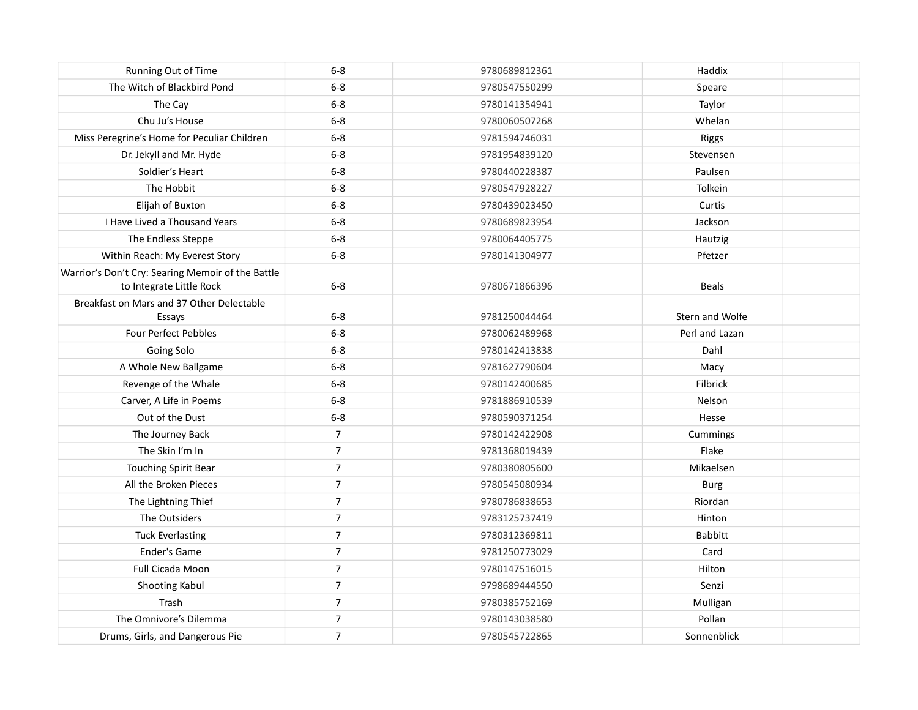| Running Out of Time                               | $6 - 8$                 | 9780689812361 | Haddix          |  |
|---------------------------------------------------|-------------------------|---------------|-----------------|--|
| The Witch of Blackbird Pond                       | $6 - 8$                 | 9780547550299 | Speare          |  |
| The Cay                                           | $6 - 8$                 | 9780141354941 | Taylor          |  |
| Chu Ju's House                                    | $6 - 8$                 | 9780060507268 | Whelan          |  |
| Miss Peregrine's Home for Peculiar Children       | $6 - 8$                 | 9781594746031 | Riggs           |  |
| Dr. Jekyll and Mr. Hyde                           | $6 - 8$                 | 9781954839120 | Stevensen       |  |
| Soldier's Heart                                   | $6 - 8$                 | 9780440228387 | Paulsen         |  |
| The Hobbit                                        | $6 - 8$                 | 9780547928227 | Tolkein         |  |
| Elijah of Buxton                                  | $6 - 8$                 | 9780439023450 | Curtis          |  |
| I Have Lived a Thousand Years                     | $6 - 8$                 | 9780689823954 | Jackson         |  |
| The Endless Steppe                                | $6 - 8$                 | 9780064405775 | Hautzig         |  |
| Within Reach: My Everest Story                    | $6 - 8$                 | 9780141304977 | Pfetzer         |  |
| Warrior's Don't Cry: Searing Memoir of the Battle |                         |               |                 |  |
| to Integrate Little Rock                          | $6 - 8$                 | 9780671866396 | <b>Beals</b>    |  |
| Breakfast on Mars and 37 Other Delectable         |                         |               |                 |  |
| Essays                                            | $6-8$                   | 9781250044464 | Stern and Wolfe |  |
| Four Perfect Pebbles                              | $6 - 8$                 | 9780062489968 | Perl and Lazan  |  |
| Going Solo                                        | $6 - 8$                 | 9780142413838 | Dahl            |  |
| A Whole New Ballgame                              | $6 - 8$                 | 9781627790604 | Macy            |  |
| Revenge of the Whale                              | $6 - 8$                 | 9780142400685 | Filbrick        |  |
| Carver, A Life in Poems                           | $6 - 8$                 | 9781886910539 | Nelson          |  |
| Out of the Dust                                   | $6 - 8$                 | 9780590371254 | Hesse           |  |
| The Journey Back                                  | $\overline{7}$          | 9780142422908 | Cummings        |  |
| The Skin I'm In                                   | $\overline{7}$          | 9781368019439 | Flake           |  |
| <b>Touching Spirit Bear</b>                       | $\overline{7}$          | 9780380805600 | Mikaelsen       |  |
| All the Broken Pieces                             | $\overline{7}$          | 9780545080934 | <b>Burg</b>     |  |
| The Lightning Thief                               | $\overline{7}$          | 9780786838653 | Riordan         |  |
| The Outsiders                                     | $\overline{7}$          | 9783125737419 | Hinton          |  |
| <b>Tuck Everlasting</b>                           | $\overline{7}$          | 9780312369811 | <b>Babbitt</b>  |  |
| Ender's Game                                      | $\overline{7}$          | 9781250773029 | Card            |  |
| <b>Full Cicada Moon</b>                           | $\overline{7}$          | 9780147516015 | Hilton          |  |
| <b>Shooting Kabul</b>                             | $\overline{7}$          | 9798689444550 | Senzi           |  |
| Trash                                             | $\overline{7}$          | 9780385752169 | Mulligan        |  |
| The Omnivore's Dilemma                            | $\overline{7}$          | 9780143038580 | Pollan          |  |
| Drums, Girls, and Dangerous Pie                   | $\overline{\mathbf{z}}$ | 9780545722865 | Sonnenblick     |  |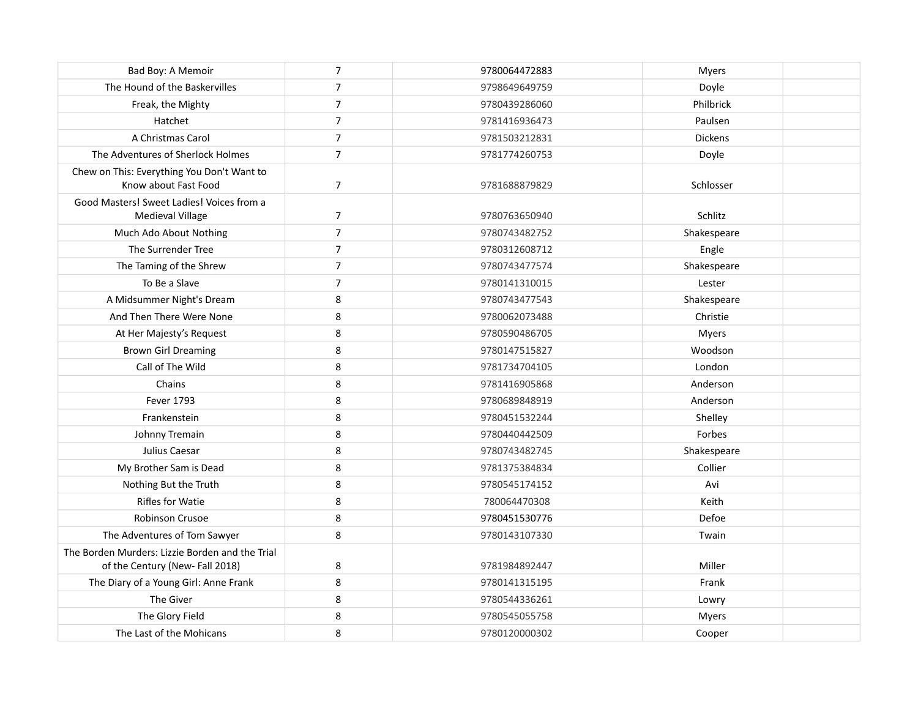| Bad Boy: A Memoir                                                                 | $\overline{7}$ | 9780064472883 | <b>Myers</b> |  |
|-----------------------------------------------------------------------------------|----------------|---------------|--------------|--|
| The Hound of the Baskervilles                                                     | $\overline{7}$ | 9798649649759 | Doyle        |  |
| Freak, the Mighty                                                                 | $\overline{7}$ | 9780439286060 | Philbrick    |  |
| Hatchet                                                                           | $\overline{7}$ | 9781416936473 | Paulsen      |  |
| A Christmas Carol                                                                 | $\overline{7}$ | 9781503212831 | Dickens      |  |
| The Adventures of Sherlock Holmes                                                 | $\overline{7}$ | 9781774260753 | Doyle        |  |
| Chew on This: Everything You Don't Want to<br>Know about Fast Food                | $\overline{7}$ | 9781688879829 | Schlosser    |  |
| Good Masters! Sweet Ladies! Voices from a<br><b>Medieval Village</b>              | $\overline{7}$ | 9780763650940 | Schlitz      |  |
| Much Ado About Nothing                                                            | $\overline{7}$ | 9780743482752 | Shakespeare  |  |
| The Surrender Tree                                                                | $\overline{7}$ | 9780312608712 | Engle        |  |
| The Taming of the Shrew                                                           | $\overline{7}$ | 9780743477574 | Shakespeare  |  |
| To Be a Slave                                                                     | $\overline{7}$ | 9780141310015 | Lester       |  |
| A Midsummer Night's Dream                                                         | 8              | 9780743477543 | Shakespeare  |  |
| And Then There Were None                                                          | 8              | 9780062073488 | Christie     |  |
| At Her Majesty's Request                                                          | 8              | 9780590486705 | <b>Myers</b> |  |
| <b>Brown Girl Dreaming</b>                                                        | 8              | 9780147515827 | Woodson      |  |
| Call of The Wild                                                                  | 8              | 9781734704105 | London       |  |
| Chains                                                                            | 8              | 9781416905868 | Anderson     |  |
| Fever 1793                                                                        | 8              | 9780689848919 | Anderson     |  |
| Frankenstein                                                                      | 8              | 9780451532244 | Shelley      |  |
| Johnny Tremain                                                                    | 8              | 9780440442509 | Forbes       |  |
| Julius Caesar                                                                     | 8              | 9780743482745 | Shakespeare  |  |
| My Brother Sam is Dead                                                            | 8              | 9781375384834 | Collier      |  |
| Nothing But the Truth                                                             | 8              | 9780545174152 | Avi          |  |
| <b>Rifles for Watie</b>                                                           | 8              | 780064470308  | Keith        |  |
| Robinson Crusoe                                                                   | 8              | 9780451530776 | Defoe        |  |
| The Adventures of Tom Sawyer                                                      | 8              | 9780143107330 | Twain        |  |
| The Borden Murders: Lizzie Borden and the Trial<br>of the Century (New-Fall 2018) | 8              | 9781984892447 | Miller       |  |
| The Diary of a Young Girl: Anne Frank                                             | 8              | 9780141315195 | Frank        |  |
| The Giver                                                                         | 8              | 9780544336261 | Lowry        |  |
| The Glory Field                                                                   | 8              | 9780545055758 | <b>Myers</b> |  |
| The Last of the Mohicans                                                          | 8              | 9780120000302 | Cooper       |  |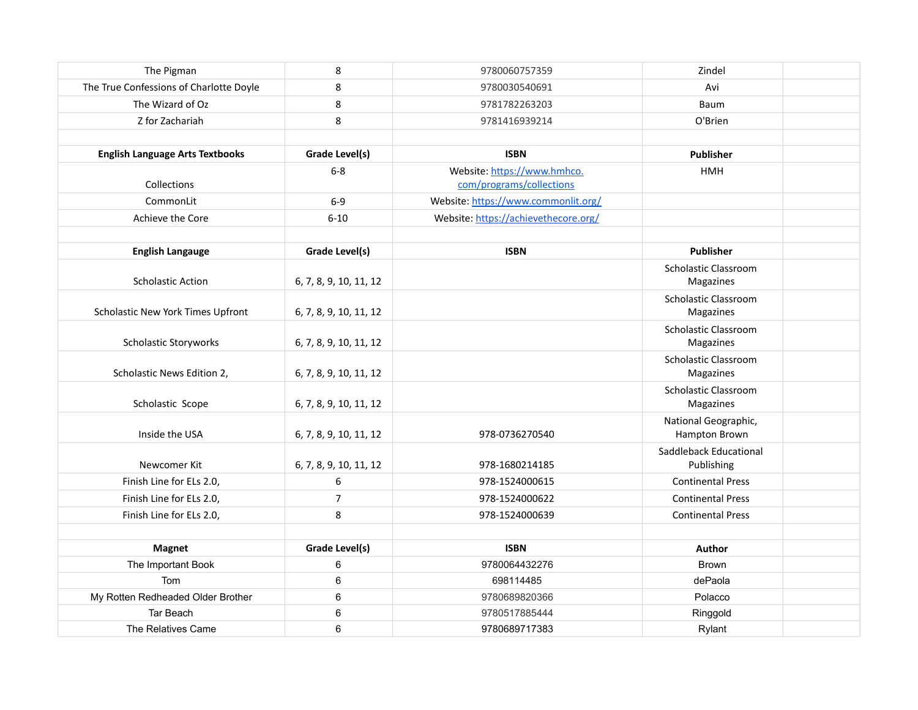| The Pigman                              | 8                      | 9780060757359                                           | Zindel                                          |  |
|-----------------------------------------|------------------------|---------------------------------------------------------|-------------------------------------------------|--|
| The True Confessions of Charlotte Doyle | 8                      | 9780030540691                                           | Avi                                             |  |
| The Wizard of Oz                        | 8                      | 9781782263203                                           | Baum                                            |  |
| Z for Zachariah                         | 8                      | 9781416939214                                           | O'Brien                                         |  |
|                                         |                        |                                                         |                                                 |  |
| <b>English Language Arts Textbooks</b>  | Grade Level(s)         | <b>ISBN</b>                                             | <b>Publisher</b>                                |  |
| Collections                             | $6 - 8$                | Website: https://www.hmhco.<br>com/programs/collections | <b>HMH</b>                                      |  |
| CommonLit                               | $6-9$                  | Website: https://www.commonlit.org/                     |                                                 |  |
| Achieve the Core                        | $6 - 10$               | Website: https://achievethecore.org/                    |                                                 |  |
|                                         |                        |                                                         |                                                 |  |
| <b>English Langauge</b>                 | Grade Level(s)         | <b>ISBN</b>                                             | <b>Publisher</b>                                |  |
| <b>Scholastic Action</b>                | 6, 7, 8, 9, 10, 11, 12 |                                                         | <b>Scholastic Classroom</b><br><b>Magazines</b> |  |
| Scholastic New York Times Upfront       | 6, 7, 8, 9, 10, 11, 12 |                                                         | Scholastic Classroom<br>Magazines               |  |
| <b>Scholastic Storyworks</b>            | 6, 7, 8, 9, 10, 11, 12 |                                                         | Scholastic Classroom<br>Magazines               |  |
| Scholastic News Edition 2,              | 6, 7, 8, 9, 10, 11, 12 |                                                         | Scholastic Classroom<br>Magazines               |  |
| Scholastic Scope                        | 6, 7, 8, 9, 10, 11, 12 |                                                         | Scholastic Classroom<br>Magazines               |  |
| Inside the USA                          | 6, 7, 8, 9, 10, 11, 12 | 978-0736270540                                          | National Geographic,<br>Hampton Brown           |  |
| Newcomer Kit                            | 6, 7, 8, 9, 10, 11, 12 | 978-1680214185                                          | Saddleback Educational<br>Publishing            |  |
| Finish Line for ELs 2.0,                | 6                      | 978-1524000615                                          | <b>Continental Press</b>                        |  |
| Finish Line for ELs 2.0,                | $\overline{7}$         | 978-1524000622                                          | <b>Continental Press</b>                        |  |
| Finish Line for ELs 2.0,                | 8                      | 978-1524000639                                          | <b>Continental Press</b>                        |  |
|                                         |                        |                                                         |                                                 |  |
| <b>Magnet</b>                           | Grade Level(s)         | <b>ISBN</b>                                             | <b>Author</b>                                   |  |
| The Important Book                      | 6                      | 9780064432276                                           | <b>Brown</b>                                    |  |
| Tom                                     | 6                      | 698114485                                               | dePaola                                         |  |
| My Rotten Redheaded Older Brother       | 6                      | 9780689820366                                           | Polacco                                         |  |
| Tar Beach                               | 6                      | 9780517885444                                           | Ringgold                                        |  |
| The Relatives Came                      | 6                      | 9780689717383                                           | Rylant                                          |  |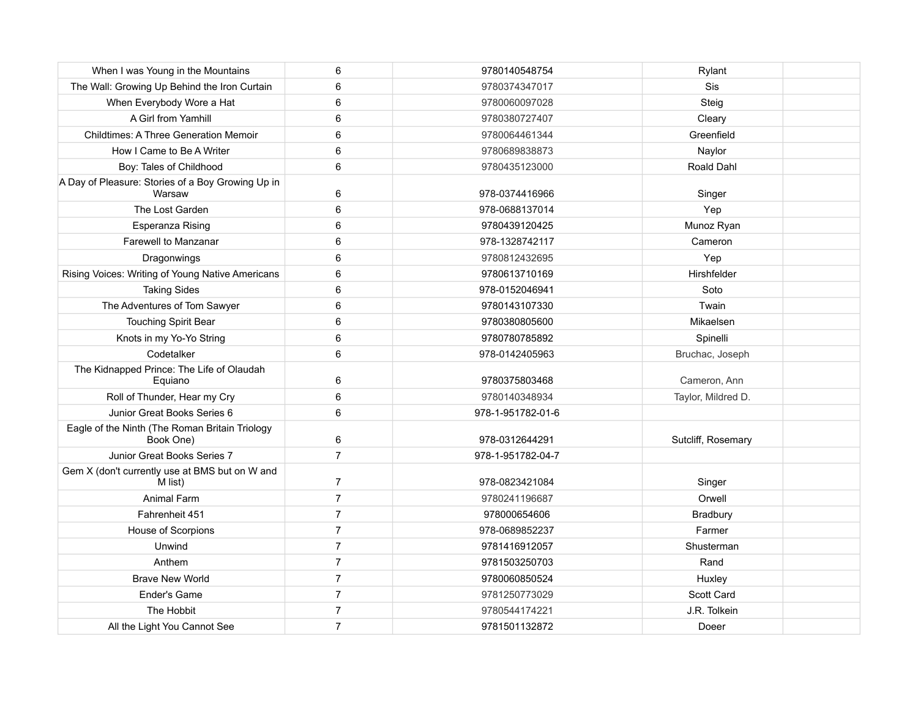| When I was Young in the Mountains                           | 6              | 9780140548754     | Rylant             |  |
|-------------------------------------------------------------|----------------|-------------------|--------------------|--|
| The Wall: Growing Up Behind the Iron Curtain                | 6              | 9780374347017     | <b>Sis</b>         |  |
| When Everybody Wore a Hat                                   | 6              | 9780060097028     | Steig              |  |
| A Girl from Yamhill                                         | 6              | 9780380727407     | Cleary             |  |
| <b>Childtimes: A Three Generation Memoir</b>                | 6              | 9780064461344     | Greenfield         |  |
| How I Came to Be A Writer                                   | 6              | 9780689838873     | Naylor             |  |
| Boy: Tales of Childhood                                     | 6              | 9780435123000     | Roald Dahl         |  |
| A Day of Pleasure: Stories of a Boy Growing Up in<br>Warsaw | 6              | 978-0374416966    | Singer             |  |
| The Lost Garden                                             | 6              | 978-0688137014    | Yep                |  |
| <b>Esperanza Rising</b>                                     | 6              | 9780439120425     | Munoz Ryan         |  |
| Farewell to Manzanar                                        | 6              | 978-1328742117    | Cameron            |  |
| Dragonwings                                                 | 6              | 9780812432695     | Yep                |  |
| Rising Voices: Writing of Young Native Americans            | 6              | 9780613710169     | Hirshfelder        |  |
| <b>Taking Sides</b>                                         | 6              | 978-0152046941    | Soto               |  |
| The Adventures of Tom Sawyer                                | 6              | 9780143107330     | Twain              |  |
| <b>Touching Spirit Bear</b>                                 | 6              | 9780380805600     | Mikaelsen          |  |
| Knots in my Yo-Yo String                                    | 6              | 9780780785892     | Spinelli           |  |
| Codetalker                                                  | 6              | 978-0142405963    | Bruchac, Joseph    |  |
| The Kidnapped Prince: The Life of Olaudah<br>Equiano        | 6              | 9780375803468     | Cameron, Ann       |  |
| Roll of Thunder, Hear my Cry                                | 6              | 9780140348934     | Taylor, Mildred D. |  |
| Junior Great Books Series 6                                 | 6              | 978-1-951782-01-6 |                    |  |
| Eagle of the Ninth (The Roman Britain Triology<br>Book One) | 6              | 978-0312644291    | Sutcliff, Rosemary |  |
| Junior Great Books Series 7                                 | $\overline{7}$ | 978-1-951782-04-7 |                    |  |
| Gem X (don't currently use at BMS but on W and<br>M list)   | $\overline{7}$ | 978-0823421084    | Singer             |  |
| <b>Animal Farm</b>                                          | $\overline{7}$ | 9780241196687     | Orwell             |  |
| Fahrenheit 451                                              | $\overline{7}$ | 978000654606      | <b>Bradbury</b>    |  |
| House of Scorpions                                          | $\overline{7}$ | 978-0689852237    | Farmer             |  |
| Unwind                                                      | $\overline{7}$ | 9781416912057     | Shusterman         |  |
| Anthem                                                      | $\overline{7}$ | 9781503250703     | Rand               |  |
| <b>Brave New World</b>                                      | $\overline{7}$ | 9780060850524     | Huxley             |  |
| Ender's Game                                                | $\overline{7}$ | 9781250773029     | Scott Card         |  |
| The Hobbit                                                  | $\overline{7}$ | 9780544174221     | J.R. Tolkein       |  |
| All the Light You Cannot See                                | $\overline{7}$ | 9781501132872     | Doeer              |  |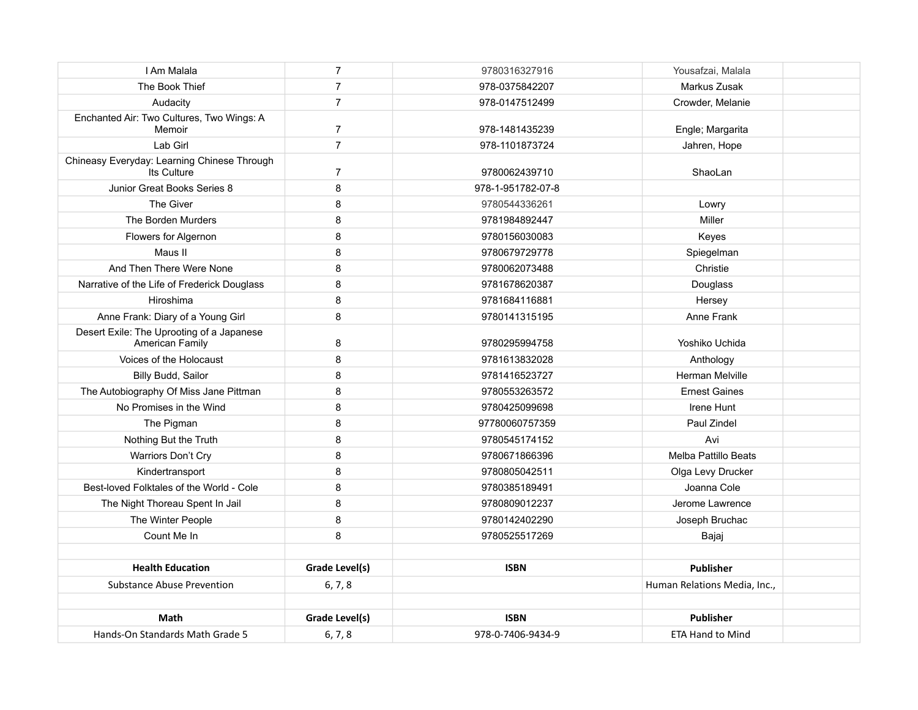| I Am Malala                                                  | $\overline{7}$ | 9780316327916     | Yousafzai, Malala            |  |
|--------------------------------------------------------------|----------------|-------------------|------------------------------|--|
| The Book Thief                                               | $\overline{7}$ | 978-0375842207    | Markus Zusak                 |  |
| Audacity                                                     | $\overline{7}$ | 978-0147512499    | Crowder, Melanie             |  |
| Enchanted Air: Two Cultures, Two Wings: A<br>Memoir          | $\overline{7}$ | 978-1481435239    | Engle; Margarita             |  |
| Lab Girl                                                     | $\overline{7}$ | 978-1101873724    | Jahren, Hope                 |  |
| Chineasy Everyday: Learning Chinese Through<br>Its Culture   | $\overline{7}$ | 9780062439710     | ShaoLan                      |  |
| Junior Great Books Series 8                                  | 8              | 978-1-951782-07-8 |                              |  |
| The Giver                                                    | 8              | 9780544336261     | Lowry                        |  |
| The Borden Murders                                           | 8              | 9781984892447     | Miller                       |  |
| Flowers for Algernon                                         | 8              | 9780156030083     | Keyes                        |  |
| Maus II                                                      | 8              | 9780679729778     | Spiegelman                   |  |
| And Then There Were None                                     | 8              | 9780062073488     | Christie                     |  |
| Narrative of the Life of Frederick Douglass                  | 8              | 9781678620387     | Douglass                     |  |
| Hiroshima                                                    | 8              | 9781684116881     | Hersey                       |  |
| Anne Frank: Diary of a Young Girl                            | 8              | 9780141315195     | Anne Frank                   |  |
| Desert Exile: The Uprooting of a Japanese<br>American Family | 8              | 9780295994758     | Yoshiko Uchida               |  |
| Voices of the Holocaust                                      | 8              | 9781613832028     | Anthology                    |  |
| Billy Budd, Sailor                                           | 8              | 9781416523727     | <b>Herman Melville</b>       |  |
| The Autobiography Of Miss Jane Pittman                       | 8              | 9780553263572     | <b>Ernest Gaines</b>         |  |
| No Promises in the Wind                                      | 8              | 9780425099698     | Irene Hunt                   |  |
| The Pigman                                                   | 8              | 97780060757359    | Paul Zindel                  |  |
| Nothing But the Truth                                        | 8              | 9780545174152     | Avi                          |  |
| Warriors Don't Cry                                           | 8              | 9780671866396     | Melba Pattillo Beats         |  |
| Kindertransport                                              | 8              | 9780805042511     | Olga Levy Drucker            |  |
| Best-loved Folktales of the World - Cole                     | 8              | 9780385189491     | Joanna Cole                  |  |
| The Night Thoreau Spent In Jail                              | 8              | 9780809012237     | Jerome Lawrence              |  |
| The Winter People                                            | 8              | 9780142402290     | Joseph Bruchac               |  |
| Count Me In                                                  | 8              | 9780525517269     | Bajaj                        |  |
|                                                              |                |                   |                              |  |
| <b>Health Education</b>                                      | Grade Level(s) | <b>ISBN</b>       | <b>Publisher</b>             |  |
| <b>Substance Abuse Prevention</b>                            | 6, 7, 8        |                   | Human Relations Media, Inc., |  |
|                                                              |                |                   |                              |  |
| <b>Math</b>                                                  | Grade Level(s) | <b>ISBN</b>       | <b>Publisher</b>             |  |
| Hands-On Standards Math Grade 5                              | 6, 7, 8        | 978-0-7406-9434-9 | <b>ETA Hand to Mind</b>      |  |
|                                                              |                |                   |                              |  |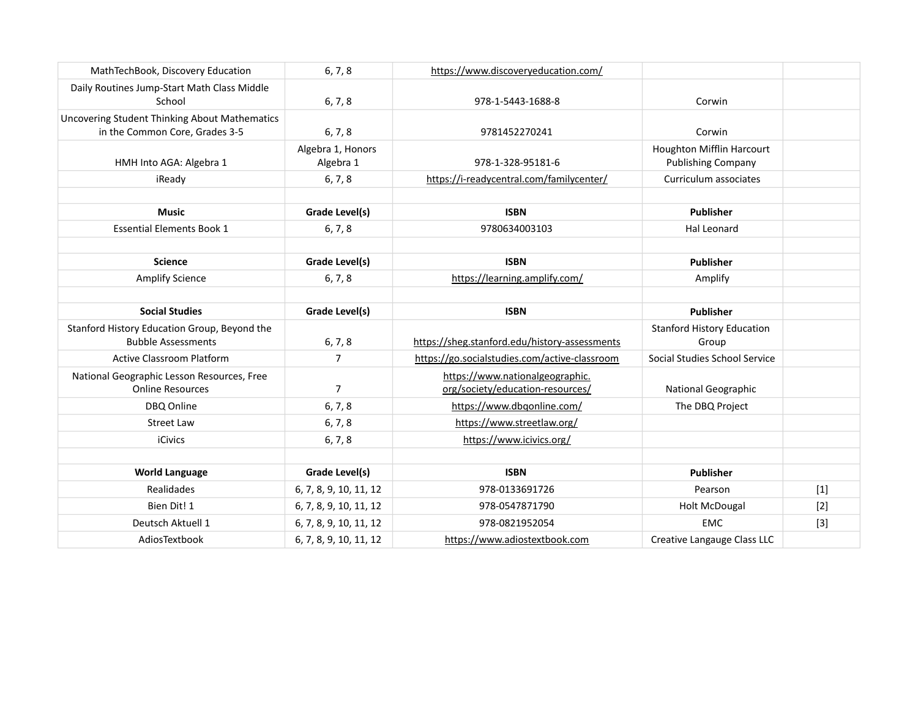| MathTechBook, Discovery Education                                                      | 6, 7, 8                        | https://www.discoveryeducation.com/                                 |                                                        |       |
|----------------------------------------------------------------------------------------|--------------------------------|---------------------------------------------------------------------|--------------------------------------------------------|-------|
| Daily Routines Jump-Start Math Class Middle<br>School                                  | 6, 7, 8                        | 978-1-5443-1688-8                                                   | Corwin                                                 |       |
| <b>Uncovering Student Thinking About Mathematics</b><br>in the Common Core, Grades 3-5 | 6, 7, 8                        | 9781452270241                                                       | Corwin                                                 |       |
| HMH Into AGA: Algebra 1                                                                | Algebra 1, Honors<br>Algebra 1 | 978-1-328-95181-6                                                   | Houghton Mifflin Harcourt<br><b>Publishing Company</b> |       |
| iReady                                                                                 | 6, 7, 8                        | https://i-readycentral.com/familycenter/                            | Curriculum associates                                  |       |
|                                                                                        |                                |                                                                     |                                                        |       |
| <b>Music</b>                                                                           | Grade Level(s)                 | <b>ISBN</b>                                                         | <b>Publisher</b>                                       |       |
| <b>Essential Elements Book 1</b>                                                       | 6, 7, 8                        | 9780634003103                                                       | <b>Hal Leonard</b>                                     |       |
|                                                                                        |                                |                                                                     |                                                        |       |
| <b>Science</b>                                                                         | Grade Level(s)                 | <b>ISBN</b>                                                         | <b>Publisher</b>                                       |       |
| <b>Amplify Science</b>                                                                 | 6, 7, 8                        | https://learning.amplify.com/                                       | Amplify                                                |       |
|                                                                                        |                                |                                                                     |                                                        |       |
|                                                                                        |                                |                                                                     |                                                        |       |
| <b>Social Studies</b>                                                                  | Grade Level(s)                 | <b>ISBN</b>                                                         | <b>Publisher</b>                                       |       |
| Stanford History Education Group, Beyond the<br><b>Bubble Assessments</b>              | 6, 7, 8                        | https://sheg.stanford.edu/history-assessments                       | <b>Stanford History Education</b><br>Group             |       |
| <b>Active Classroom Platform</b>                                                       | $\overline{7}$                 | https://go.socialstudies.com/active-classroom                       | Social Studies School Service                          |       |
| National Geographic Lesson Resources, Free<br><b>Online Resources</b>                  | $\overline{7}$                 | https://www.nationalgeographic.<br>org/society/education-resources/ | National Geographic                                    |       |
| DBQ Online                                                                             | 6, 7, 8                        | https://www.dbqonline.com/                                          | The DBQ Project                                        |       |
| <b>Street Law</b>                                                                      | 6, 7, 8                        | https://www.streetlaw.org/                                          |                                                        |       |
| <b>iCivics</b>                                                                         | 6, 7, 8                        | https://www.icivics.org/                                            |                                                        |       |
|                                                                                        |                                |                                                                     |                                                        |       |
| <b>World Language</b>                                                                  | Grade Level(s)                 | <b>ISBN</b>                                                         | <b>Publisher</b>                                       |       |
| Realidades                                                                             | 6, 7, 8, 9, 10, 11, 12         | 978-0133691726                                                      | Pearson                                                | $[1]$ |
| Bien Dit! 1                                                                            | 6, 7, 8, 9, 10, 11, 12         | 978-0547871790                                                      | <b>Holt McDougal</b>                                   | $[2]$ |
| Deutsch Aktuell 1                                                                      | 6, 7, 8, 9, 10, 11, 12         | 978-0821952054                                                      | <b>EMC</b>                                             | $[3]$ |